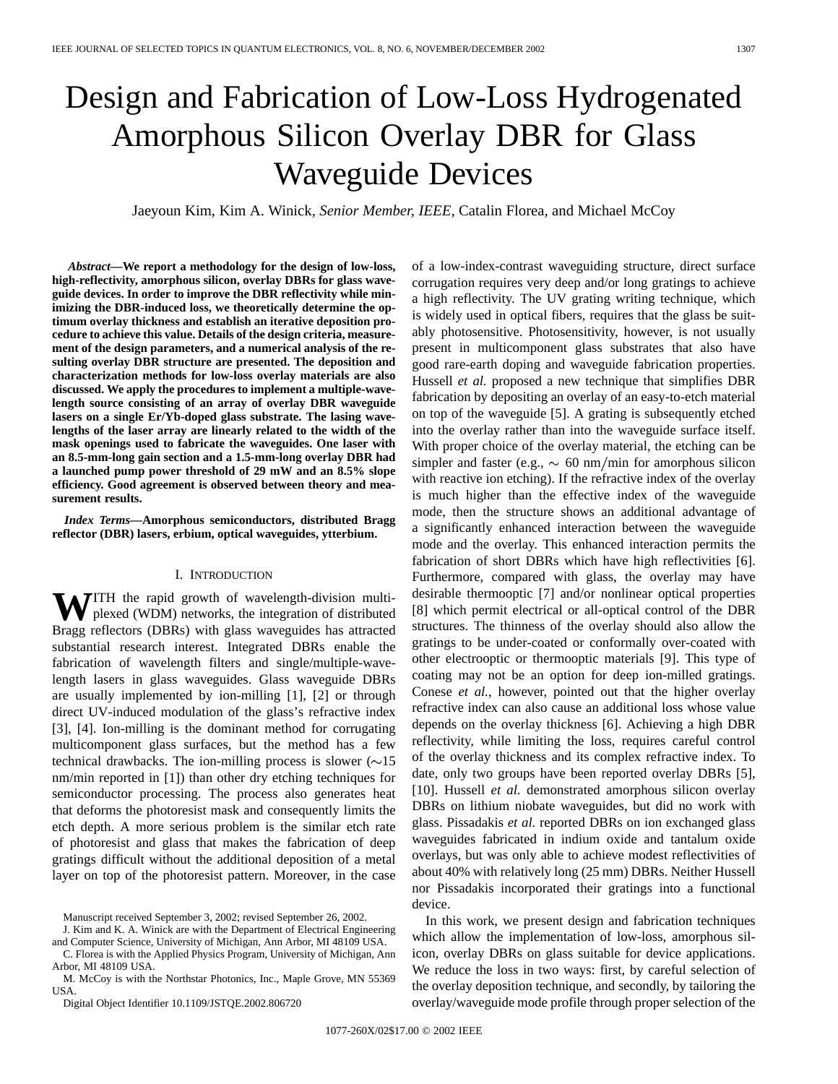# Design and Fabrication of Low-Loss Hydrogenated Amorphous Silicon Overlay DBR for Glass Waveguide Devices

Jaeyoun Kim, Kim A. Winick*, Senior Member, IEEE*, Catalin Florea, and Michael McCoy

*Abstract—***We report a methodology for the design of low-loss, high-reflectivity, amorphous silicon, overlay DBRs for glass waveguide devices. In order to improve the DBR reflectivity while minimizing the DBR-induced loss, we theoretically determine the optimum overlay thickness and establish an iterative deposition procedure to achieve this value. Details of the design criteria, measurement of the design parameters, and a numerical analysis of the resulting overlay DBR structure are presented. The deposition and characterization methods for low-loss overlay materials are also discussed. We apply the procedures to implement a multiple-wavelength source consisting of an array of overlay DBR waveguide lasers on a single Er/Yb-doped glass substrate. The lasing wavelengths of the laser array are linearly related to the width of the mask openings used to fabricate the waveguides. One laser with an 8.5-mm-long gain section and a 1.5-mm-long overlay DBR had a launched pump power threshold of 29 mW and an 8.5% slope efficiency. Good agreement is observed between theory and measurement results.**

*Index Terms—***Amorphous semiconductors, distributed Bragg reflector (DBR) lasers, erbium, optical waveguides, ytterbium.**

#### I. INTRODUCTION

WITH the rapid growth of wavelength-division multiplexed (WDM) networks, the integration of distributed Bragg reflectors (DBRs) with glass waveguides has attracted substantial research interest. Integrated DBRs enable the fabrication of wavelength filters and single/multiple-wavelength lasers in glass waveguides. Glass waveguide DBRs are usually implemented by ion-milling [1], [2] or through direct UV-induced modulation of the glass's refractive index [3], [4]. Ion-milling is the dominant method for corrugating multicomponent glass surfaces, but the method has a few technical drawbacks. The ion-milling process is slower  $(\sim 15$ nm/min reported in [1]) than other dry etching techniques for semiconductor processing. The process also generates heat that deforms the photoresist mask and consequently limits the etch depth. A more serious problem is the similar etch rate of photoresist and glass that makes the fabrication of deep gratings difficult without the additional deposition of a metal layer on top of the photoresist pattern. Moreover, in the case

Manuscript received September 3, 2002; revised September 26, 2002.

J. Kim and K. A. Winick are with the Department of Electrical Engineering and Computer Science, University of Michigan, Ann Arbor, MI 48109 USA.

C. Florea is with the Applied Physics Program, University of Michigan, Ann Arbor, MI 48109 USA.

M. McCoy is with the Northstar Photonics, Inc., Maple Grove, MN 55369 USA.

Digital Object Identifier 10.1109/JSTQE.2002.806720

of a low-index-contrast waveguiding structure, direct surface corrugation requires very deep and/or long gratings to achieve a high reflectivity. The UV grating writing technique, which is widely used in optical fibers, requires that the glass be suitably photosensitive. Photosensitivity, however, is not usually present in multicomponent glass substrates that also have good rare-earth doping and waveguide fabrication properties. Hussell *et al.* proposed a new technique that simplifies DBR fabrication by depositing an overlay of an easy-to-etch material on top of the waveguide [5]. A grating is subsequently etched into the overlay rather than into the waveguide surface itself. With proper choice of the overlay material, the etching can be simpler and faster (e.g.,  $\sim 60$  nm/min for amorphous silicon with reactive ion etching). If the refractive index of the overlay is much higher than the effective index of the waveguide mode, then the structure shows an additional advantage of a significantly enhanced interaction between the waveguide mode and the overlay. This enhanced interaction permits the fabrication of short DBRs which have high reflectivities [6]. Furthermore, compared with glass, the overlay may have desirable thermooptic [7] and/or nonlinear optical properties [8] which permit electrical or all-optical control of the DBR structures. The thinness of the overlay should also allow the gratings to be under-coated or conformally over-coated with other electrooptic or thermooptic materials [9]. This type of coating may not be an option for deep ion-milled gratings. Conese *et al.*, however, pointed out that the higher overlay refractive index can also cause an additional loss whose value depends on the overlay thickness [6]. Achieving a high DBR reflectivity, while limiting the loss, requires careful control of the overlay thickness and its complex refractive index. To date, only two groups have been reported overlay DBRs [5], [10]. Hussell *et al.* demonstrated amorphous silicon overlay DBRs on lithium niobate waveguides, but did no work with glass. Pissadakis *et al.* reported DBRs on ion exchanged glass waveguides fabricated in indium oxide and tantalum oxide overlays, but was only able to achieve modest reflectivities of about 40% with relatively long (25 mm) DBRs. Neither Hussell nor Pissadakis incorporated their gratings into a functional device.

In this work, we present design and fabrication techniques which allow the implementation of low-loss, amorphous silicon, overlay DBRs on glass suitable for device applications. We reduce the loss in two ways: first, by careful selection of the overlay deposition technique, and secondly, by tailoring the overlay/waveguide mode profile through proper selection of the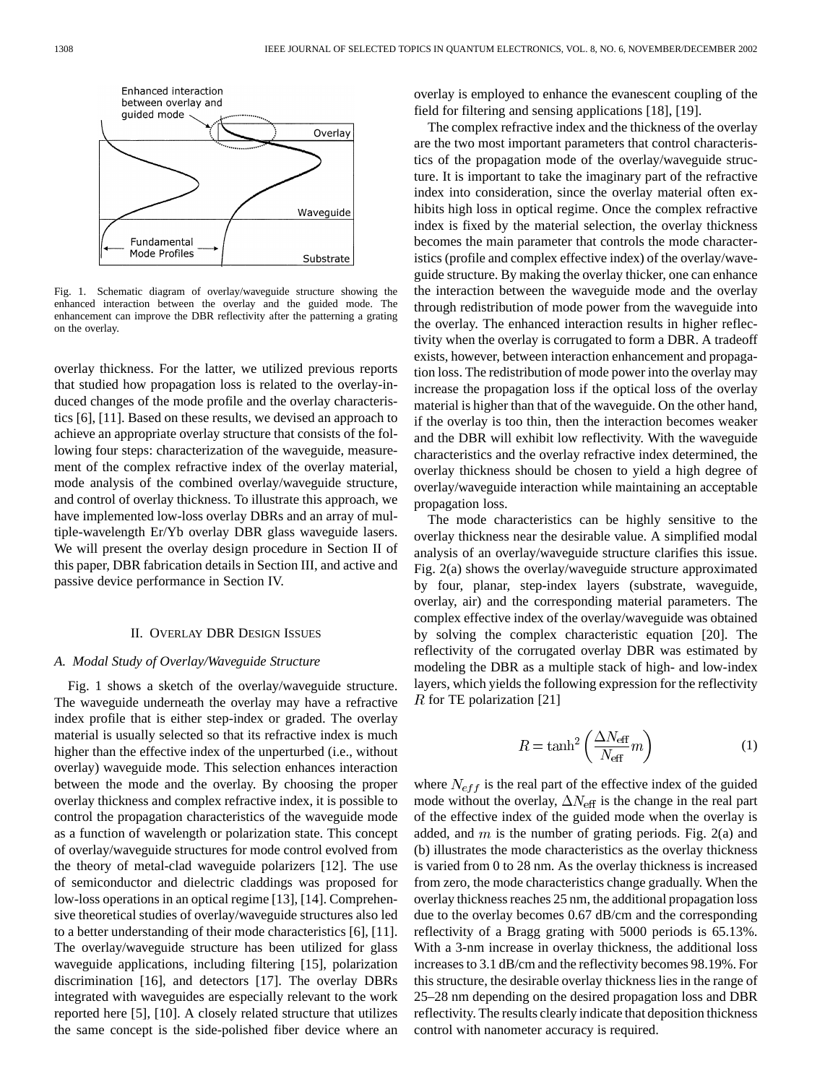

Fig. 1. Schematic diagram of overlay/waveguide structure showing the enhanced interaction between the overlay and the guided mode. The enhancement can improve the DBR reflectivity after the patterning a grating on the overlay.

overlay thickness. For the latter, we utilized previous reports that studied how propagation loss is related to the overlay-induced changes of the mode profile and the overlay characteristics [6], [11]. Based on these results, we devised an approach to achieve an appropriate overlay structure that consists of the following four steps: characterization of the waveguide, measurement of the complex refractive index of the overlay material, mode analysis of the combined overlay/waveguide structure, and control of overlay thickness. To illustrate this approach, we have implemented low-loss overlay DBRs and an array of multiple-wavelength Er/Yb overlay DBR glass waveguide lasers. We will present the overlay design procedure in Section II of this paper, DBR fabrication details in Section III, and active and passive device performance in Section IV.

#### II. OVERLAY DBR DESIGN ISSUES

# *A. Modal Study of Overlay/Waveguide Structure*

Fig. 1 shows a sketch of the overlay/waveguide structure. The waveguide underneath the overlay may have a refractive index profile that is either step-index or graded. The overlay material is usually selected so that its refractive index is much higher than the effective index of the unperturbed (i.e., without overlay) waveguide mode. This selection enhances interaction between the mode and the overlay. By choosing the proper overlay thickness and complex refractive index, it is possible to control the propagation characteristics of the waveguide mode as a function of wavelength or polarization state. This concept of overlay/waveguide structures for mode control evolved from the theory of metal-clad waveguide polarizers [12]. The use of semiconductor and dielectric claddings was proposed for low-loss operations in an optical regime [13], [14]. Comprehensive theoretical studies of overlay/waveguide structures also led to a better understanding of their mode characteristics [6], [11]. The overlay/waveguide structure has been utilized for glass waveguide applications, including filtering [15], polarization discrimination [16], and detectors [17]. The overlay DBRs integrated with waveguides are especially relevant to the work reported here [5], [10]. A closely related structure that utilizes the same concept is the side-polished fiber device where an overlay is employed to enhance the evanescent coupling of the field for filtering and sensing applications [18], [19].

The complex refractive index and the thickness of the overlay are the two most important parameters that control characteristics of the propagation mode of the overlay/waveguide structure. It is important to take the imaginary part of the refractive index into consideration, since the overlay material often exhibits high loss in optical regime. Once the complex refractive index is fixed by the material selection, the overlay thickness becomes the main parameter that controls the mode characteristics (profile and complex effective index) of the overlay/waveguide structure. By making the overlay thicker, one can enhance the interaction between the waveguide mode and the overlay through redistribution of mode power from the waveguide into the overlay. The enhanced interaction results in higher reflectivity when the overlay is corrugated to form a DBR. A tradeoff exists, however, between interaction enhancement and propagation loss. The redistribution of mode power into the overlay may increase the propagation loss if the optical loss of the overlay material is higher than that of the waveguide. On the other hand, if the overlay is too thin, then the interaction becomes weaker and the DBR will exhibit low reflectivity. With the waveguide characteristics and the overlay refractive index determined, the overlay thickness should be chosen to yield a high degree of overlay/waveguide interaction while maintaining an acceptable propagation loss.

The mode characteristics can be highly sensitive to the overlay thickness near the desirable value. A simplified modal analysis of an overlay/waveguide structure clarifies this issue. Fig. 2(a) shows the overlay/waveguide structure approximated by four, planar, step-index layers (substrate, waveguide, overlay, air) and the corresponding material parameters. The complex effective index of the overlay/waveguide was obtained by solving the complex characteristic equation [20]. The reflectivity of the corrugated overlay DBR was estimated by modeling the DBR as a multiple stack of high- and low-index layers, which yields the following expression for the reflectivity  $R$  for TE polarization [21]

$$
R = \tanh^2\left(\frac{\Delta N_{\text{eff}}}{N_{\text{eff}}}m\right) \tag{1}
$$

where  $N_{eff}$  is the real part of the effective index of the guided mode without the overlay,  $\Delta N_{\text{eff}}$  is the change in the real part of the effective index of the guided mode when the overlay is added, and  $m$  is the number of grating periods. Fig. 2(a) and (b) illustrates the mode characteristics as the overlay thickness is varied from 0 to 28 nm. As the overlay thickness is increased from zero, the mode characteristics change gradually. When the overlay thickness reaches 25 nm, the additional propagation loss due to the overlay becomes 0.67 dB/cm and the corresponding reflectivity of a Bragg grating with 5000 periods is 65.13%. With a 3-nm increase in overlay thickness, the additional loss increases to 3.1 dB/cm and the reflectivity becomes 98.19%. For this structure, the desirable overlay thickness lies in the range of 25–28 nm depending on the desired propagation loss and DBR reflectivity. The results clearly indicate that deposition thickness control with nanometer accuracy is required.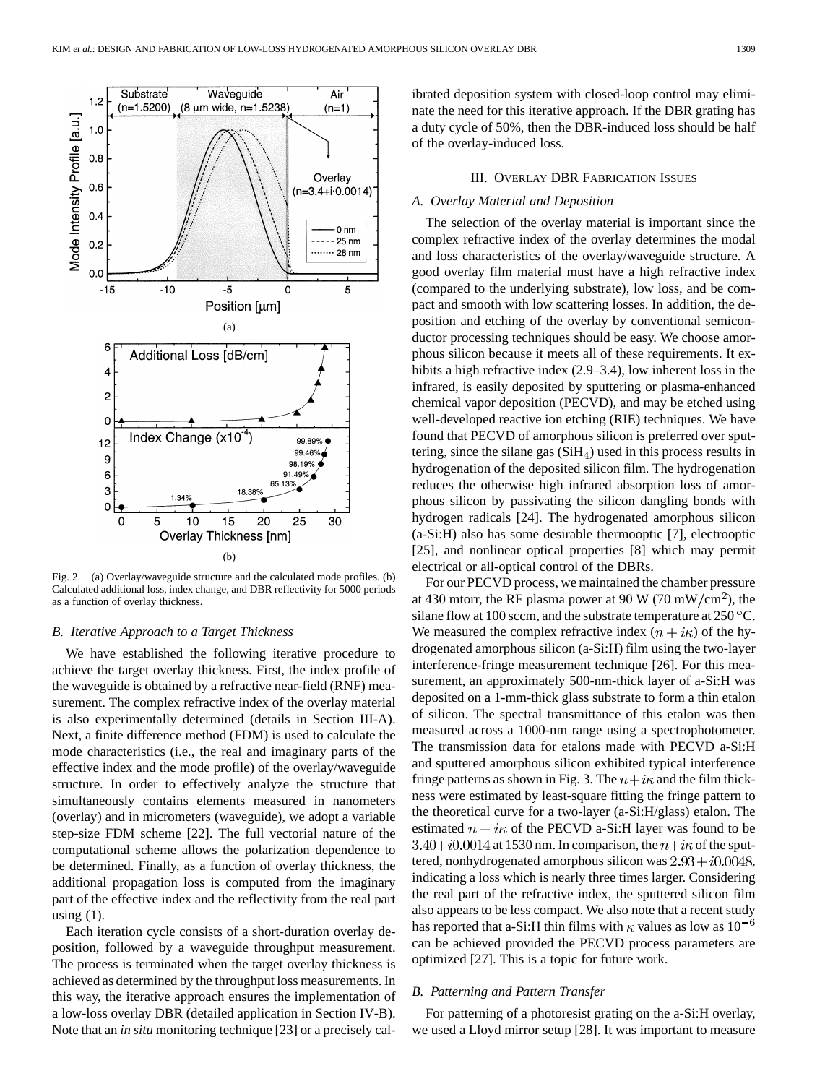

Fig. 2. (a) Overlay/waveguide structure and the calculated mode profiles. (b) Calculated additional loss, index change, and DBR reflectivity for 5000 periods as a function of overlay thickness.

# *B. Iterative Approach to a Target Thickness*

We have established the following iterative procedure to achieve the target overlay thickness. First, the index profile of the waveguide is obtained by a refractive near-field (RNF) measurement. The complex refractive index of the overlay material is also experimentally determined (details in Section III-A). Next, a finite difference method (FDM) is used to calculate the mode characteristics (i.e., the real and imaginary parts of the effective index and the mode profile) of the overlay/waveguide structure. In order to effectively analyze the structure that simultaneously contains elements measured in nanometers (overlay) and in micrometers (waveguide), we adopt a variable step-size FDM scheme [22]. The full vectorial nature of the computational scheme allows the polarization dependence to be determined. Finally, as a function of overlay thickness, the additional propagation loss is computed from the imaginary part of the effective index and the reflectivity from the real part using  $(1)$ .

Each iteration cycle consists of a short-duration overlay deposition, followed by a waveguide throughput measurement. The process is terminated when the target overlay thickness is achieved as determined by the throughput loss measurements. In this way, the iterative approach ensures the implementation of a low-loss overlay DBR (detailed application in Section IV-B). Note that an *in situ* monitoring technique [23] or a precisely calibrated deposition system with closed-loop control may eliminate the need for this iterative approach. If the DBR grating has a duty cycle of 50%, then the DBR-induced loss should be half of the overlay-induced loss.

### III. OVERLAY DBR FABRICATION ISSUES

### *A. Overlay Material and Deposition*

The selection of the overlay material is important since the complex refractive index of the overlay determines the modal and loss characteristics of the overlay/waveguide structure. A good overlay film material must have a high refractive index (compared to the underlying substrate), low loss, and be compact and smooth with low scattering losses. In addition, the deposition and etching of the overlay by conventional semiconductor processing techniques should be easy. We choose amorphous silicon because it meets all of these requirements. It exhibits a high refractive index  $(2.9-3.4)$ , low inherent loss in the infrared, is easily deposited by sputtering or plasma-enhanced chemical vapor deposition (PECVD), and may be etched using well-developed reactive ion etching (RIE) techniques. We have found that PECVD of amorphous silicon is preferred over sputtering, since the silane gas  $(SiH<sub>4</sub>)$  used in this process results in hydrogenation of the deposited silicon film. The hydrogenation reduces the otherwise high infrared absorption loss of amorphous silicon by passivating the silicon dangling bonds with hydrogen radicals [24]. The hydrogenated amorphous silicon (a-Si:H) also has some desirable thermooptic [7], electrooptic [25], and nonlinear optical properties [8] which may permit electrical or all-optical control of the DBRs.

For our PECVD process, we maintained the chamber pressure at 430 mtorr, the RF plasma power at 90 W (70 mW/cm<sup>2</sup>), the silane flow at 100 sccm, and the substrate temperature at  $250^{\circ}$ C. We measured the complex refractive index  $(n + i\kappa)$  of the hydrogenated amorphous silicon (a-Si:H) film using the two-layer interference-fringe measurement technique [26]. For this measurement, an approximately 500-nm-thick layer of a-Si:H was deposited on a 1-mm-thick glass substrate to form a thin etalon of silicon. The spectral transmittance of this etalon was then measured across a 1000-nm range using a spectrophotometer. The transmission data for etalons made with PECVD a-Si:H and sputtered amorphous silicon exhibited typical interference fringe patterns as shown in Fig. 3. The  $n+i\kappa$  and the film thickness were estimated by least-square fitting the fringe pattern to the theoretical curve for a two-layer (a-Si:H/glass) etalon. The estimated  $n + i\kappa$  of the PECVD a-Si:H layer was found to be 3.40+ $i$ 0.0014 at 1530 nm. In comparison, the  $n+i\kappa$  of the sputtered, nonhydrogenated amorphous silicon was  $2.93 + i0.0048$ , indicating a loss which is nearly three times larger. Considering the real part of the refractive index, the sputtered silicon film also appears to be less compact. We also note that a recent study has reported that a-Si:H thin films with  $\kappa$  values as low as  $10^{-6}$ can be achieved provided the PECVD process parameters are optimized [27]. This is a topic for future work.

# *B. Patterning and Pattern Transfer*

For patterning of a photoresist grating on the a-Si:H overlay, we used a Lloyd mirror setup [28]. It was important to measure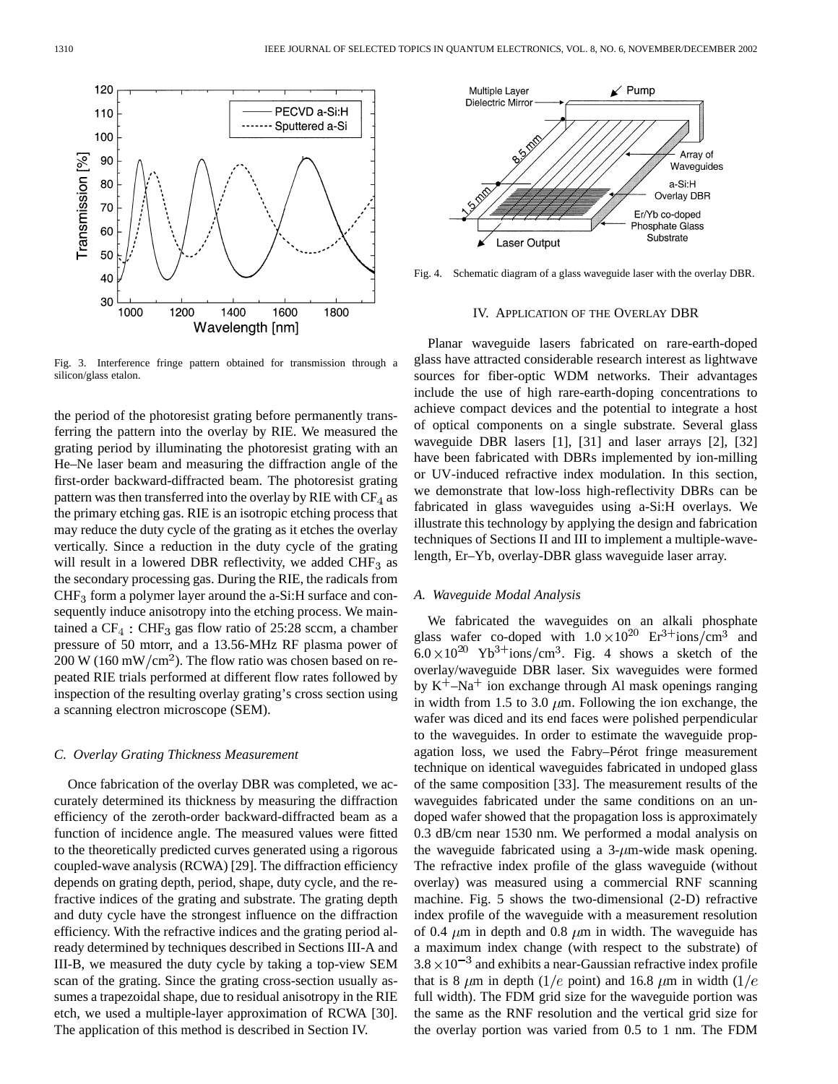

Fig. 3. Interference fringe pattern obtained for transmission through a silicon/glass etalon.

the period of the photoresist grating before permanently transferring the pattern into the overlay by RIE. We measured the grating period by illuminating the photoresist grating with an He–Ne laser beam and measuring the diffraction angle of the first-order backward-diffracted beam. The photoresist grating pattern was then transferred into the overlay by RIE with  $CF_4$  as the primary etching gas. RIE is an isotropic etching process that may reduce the duty cycle of the grating as it etches the overlay vertically. Since a reduction in the duty cycle of the grating will result in a lowered DBR reflectivity, we added  $CHF<sub>3</sub>$  as the secondary processing gas. During the RIE, the radicals from  $CHF<sub>3</sub>$  form a polymer layer around the a-Si:H surface and consequently induce anisotropy into the etching process. We maintained a  $CF_4$ : CHF<sub>3</sub> gas flow ratio of 25:28 sccm, a chamber pressure of 50 mtorr, and a 13.56-MHz RF plasma power of  $200 \text{ W}$  (160 mW/cm<sup>2</sup>). The flow ratio was chosen based on repeated RIE trials performed at different flow rates followed by inspection of the resulting overlay grating's cross section using a scanning electron microscope (SEM).

### *C. Overlay Grating Thickness Measurement*

Once fabrication of the overlay DBR was completed, we accurately determined its thickness by measuring the diffraction efficiency of the zeroth-order backward-diffracted beam as a function of incidence angle. The measured values were fitted to the theoretically predicted curves generated using a rigorous coupled-wave analysis (RCWA) [29]. The diffraction efficiency depends on grating depth, period, shape, duty cycle, and the refractive indices of the grating and substrate. The grating depth and duty cycle have the strongest influence on the diffraction efficiency. With the refractive indices and the grating period already determined by techniques described in Sections III-A and III-B, we measured the duty cycle by taking a top-view SEM scan of the grating. Since the grating cross-section usually assumes a trapezoidal shape, due to residual anisotropy in the RIE etch, we used a multiple-layer approximation of RCWA [30]. The application of this method is described in Section IV.



Fig. 4. Schematic diagram of a glass waveguide laser with the overlay DBR.

# IV. APPLICATION OF THE OVERLAY DBR

Planar waveguide lasers fabricated on rare-earth-doped glass have attracted considerable research interest as lightwave sources for fiber-optic WDM networks. Their advantages include the use of high rare-earth-doping concentrations to achieve compact devices and the potential to integrate a host of optical components on a single substrate. Several glass waveguide DBR lasers [1], [31] and laser arrays [2], [32] have been fabricated with DBRs implemented by ion-milling or UV-induced refractive index modulation. In this section, we demonstrate that low-loss high-reflectivity DBRs can be fabricated in glass waveguides using a-Si:H overlays. We illustrate this technology by applying the design and fabrication techniques of Sections II and III to implement a multiple-wavelength, Er–Yb, overlay-DBR glass waveguide laser array.

# *A. Waveguide Modal Analysis*

We fabricated the waveguides on an alkali phosphate glass wafer co-doped with  $1.0 \times 10^{20}$  Er<sup>3+</sup>ions/cm<sup>3</sup> and  $6.0 \times 10^{20}$  Yb<sup>3+</sup>ions/cm<sup>3</sup>. Fig. 4 shows a sketch of the overlay/waveguide DBR laser. Six waveguides were formed by  $K^+$ -Na<sup>+</sup> ion exchange through Al mask openings ranging in width from 1.5 to 3.0  $\mu$ m. Following the ion exchange, the wafer was diced and its end faces were polished perpendicular to the waveguides. In order to estimate the waveguide propagation loss, we used the Fabry–Pérot fringe measurement technique on identical waveguides fabricated in undoped glass of the same composition [33]. The measurement results of the waveguides fabricated under the same conditions on an undoped wafer showed that the propagation loss is approximately 0.3 dB/cm near 1530 nm. We performed a modal analysis on the waveguide fabricated using a  $3-\mu m$ -wide mask opening. The refractive index profile of the glass waveguide (without overlay) was measured using a commercial RNF scanning machine. Fig. 5 shows the two-dimensional (2-D) refractive index profile of the waveguide with a measurement resolution of 0.4  $\mu$ m in depth and 0.8  $\mu$ m in width. The waveguide has a maximum index change (with respect to the substrate) of  $3.8 \times 10^{-3}$  and exhibits a near-Gaussian refractive index profile that is 8  $\mu$ m in depth (1/e point) and 16.8  $\mu$ m in width (1/e full width). The FDM grid size for the waveguide portion was the same as the RNF resolution and the vertical grid size for the overlay portion was varied from 0.5 to 1 nm. The FDM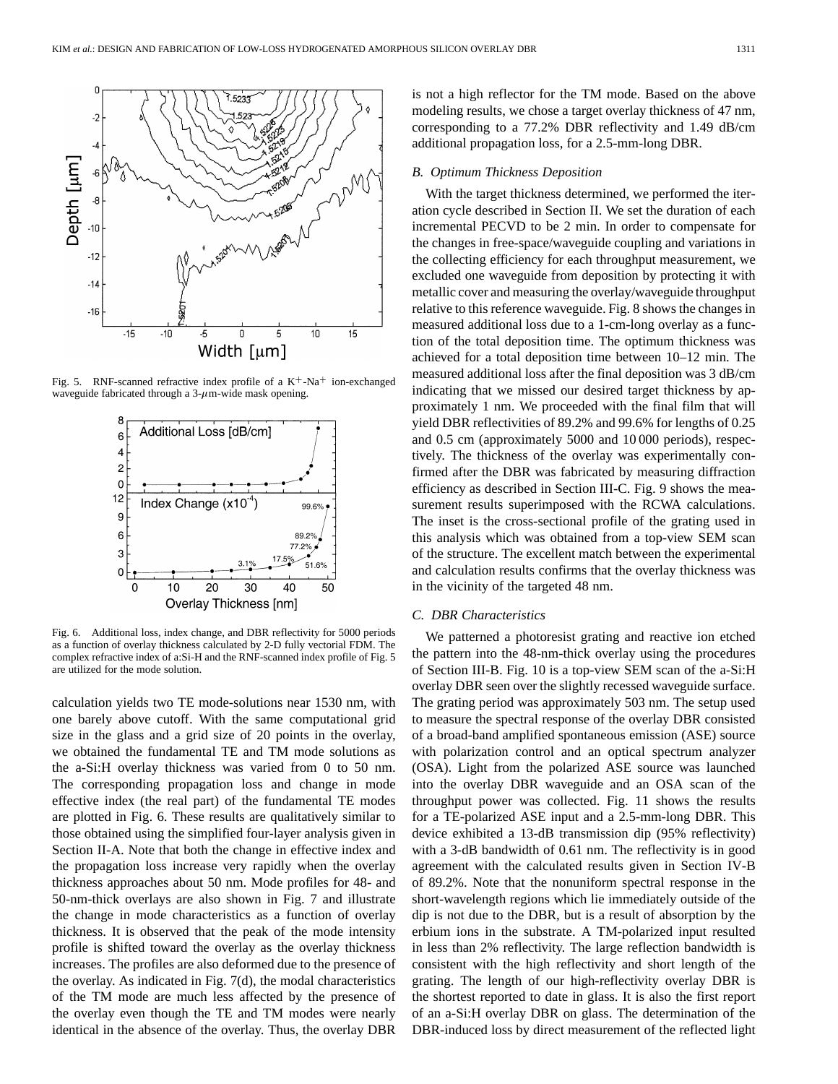

Fig. 5. RNF-scanned refractive index profile of a  $K^+$ -Na<sup>+</sup> ion-exchanged waveguide fabricated through a  $3-\mu$ m-wide mask opening.



Fig. 6. Additional loss, index change, and DBR reflectivity for 5000 periods as a function of overlay thickness calculated by 2-D fully vectorial FDM. The complex refractive index of a:Si-H and the RNF-scanned index profile of Fig. 5 are utilized for the mode solution.

calculation yields two TE mode-solutions near 1530 nm, with one barely above cutoff. With the same computational grid size in the glass and a grid size of 20 points in the overlay, we obtained the fundamental TE and TM mode solutions as the a-Si:H overlay thickness was varied from 0 to 50 nm. The corresponding propagation loss and change in mode effective index (the real part) of the fundamental TE modes are plotted in Fig. 6. These results are qualitatively similar to those obtained using the simplified four-layer analysis given in Section II-A. Note that both the change in effective index and the propagation loss increase very rapidly when the overlay thickness approaches about 50 nm. Mode profiles for 48- and 50-nm-thick overlays are also shown in Fig. 7 and illustrate the change in mode characteristics as a function of overlay thickness. It is observed that the peak of the mode intensity profile is shifted toward the overlay as the overlay thickness increases. The profiles are also deformed due to the presence of the overlay. As indicated in Fig. 7(d), the modal characteristics of the TM mode are much less affected by the presence of the overlay even though the TE and TM modes were nearly identical in the absence of the overlay. Thus, the overlay DBR

is not a high reflector for the TM mode. Based on the above modeling results, we chose a target overlay thickness of 47 nm, corresponding to a 77.2% DBR reflectivity and 1.49 dB/cm additional propagation loss, for a 2.5-mm-long DBR.

#### *B. Optimum Thickness Deposition*

With the target thickness determined, we performed the iteration cycle described in Section II. We set the duration of each incremental PECVD to be 2 min. In order to compensate for the changes in free-space/waveguide coupling and variations in the collecting efficiency for each throughput measurement, we excluded one waveguide from deposition by protecting it with metallic cover and measuring the overlay/waveguide throughput relative to this reference waveguide. Fig. 8 shows the changes in measured additional loss due to a 1-cm-long overlay as a function of the total deposition time. The optimum thickness was achieved for a total deposition time between 10–12 min. The measured additional loss after the final deposition was 3 dB/cm indicating that we missed our desired target thickness by approximately 1 nm. We proceeded with the final film that will yield DBR reflectivities of 89.2% and 99.6% for lengths of 0.25 and 0.5 cm (approximately 5000 and 10 000 periods), respectively. The thickness of the overlay was experimentally confirmed after the DBR was fabricated by measuring diffraction efficiency as described in Section III-C. Fig. 9 shows the measurement results superimposed with the RCWA calculations. The inset is the cross-sectional profile of the grating used in this analysis which was obtained from a top-view SEM scan of the structure. The excellent match between the experimental and calculation results confirms that the overlay thickness was in the vicinity of the targeted 48 nm.

# *C. DBR Characteristics*

We patterned a photoresist grating and reactive ion etched the pattern into the 48-nm-thick overlay using the procedures of Section III-B. Fig. 10 is a top-view SEM scan of the a-Si:H overlay DBR seen over the slightly recessed waveguide surface. The grating period was approximately 503 nm. The setup used to measure the spectral response of the overlay DBR consisted of a broad-band amplified spontaneous emission (ASE) source with polarization control and an optical spectrum analyzer (OSA). Light from the polarized ASE source was launched into the overlay DBR waveguide and an OSA scan of the throughput power was collected. Fig. 11 shows the results for a TE-polarized ASE input and a 2.5-mm-long DBR. This device exhibited a 13-dB transmission dip (95% reflectivity) with a 3-dB bandwidth of 0.61 nm. The reflectivity is in good agreement with the calculated results given in Section IV-B of 89.2%. Note that the nonuniform spectral response in the short-wavelength regions which lie immediately outside of the dip is not due to the DBR, but is a result of absorption by the erbium ions in the substrate. A TM-polarized input resulted in less than 2% reflectivity. The large reflection bandwidth is consistent with the high reflectivity and short length of the grating. The length of our high-reflectivity overlay DBR is the shortest reported to date in glass. It is also the first report of an a-Si:H overlay DBR on glass. The determination of the DBR-induced loss by direct measurement of the reflected light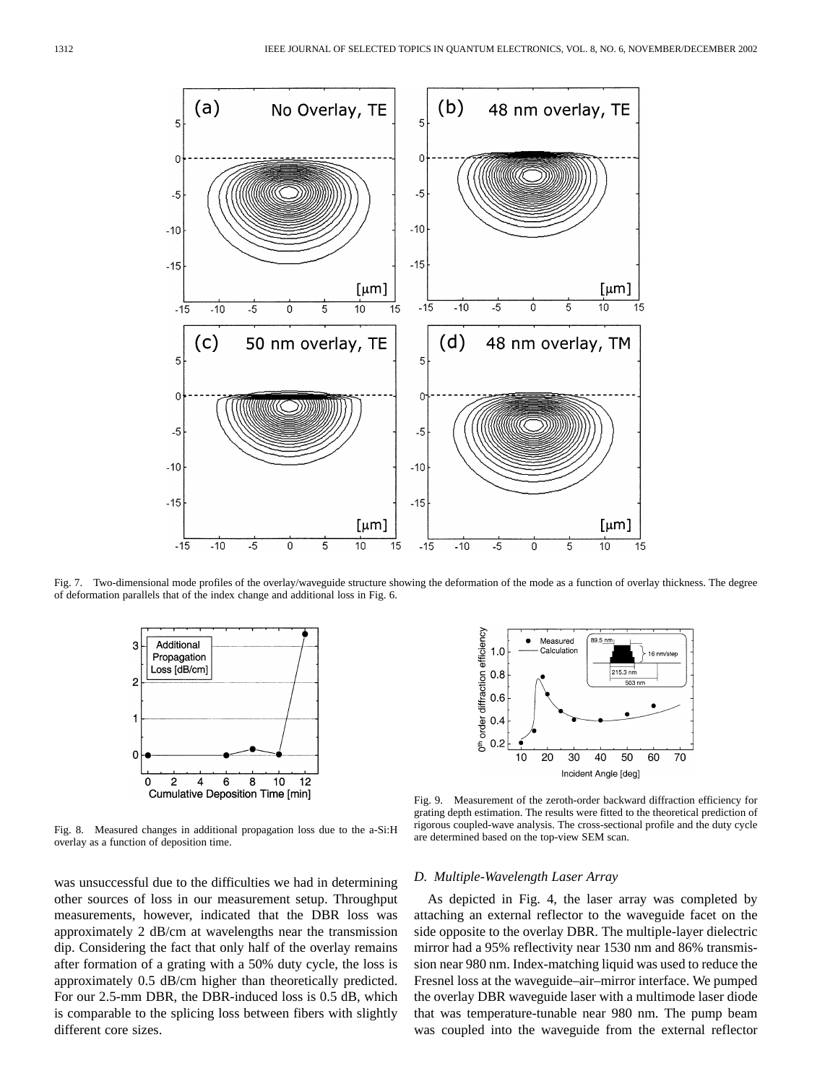

Fig. 7. Two-dimensional mode profiles of the overlay/waveguide structure showing the deformation of the mode as a function of overlay thickness. The degree of deformation parallels that of the index change and additional loss in Fig. 6.



Fig. 8. Measured changes in additional propagation loss due to the a-Si:H overlay as a function of deposition time.

was unsuccessful due to the difficulties we had in determining other sources of loss in our measurement setup. Throughput measurements, however, indicated that the DBR loss was approximately 2 dB/cm at wavelengths near the transmission dip. Considering the fact that only half of the overlay remains after formation of a grating with a 50% duty cycle, the loss is approximately 0.5 dB/cm higher than theoretically predicted. For our 2.5-mm DBR, the DBR-induced loss is 0.5 dB, which is comparable to the splicing loss between fibers with slightly different core sizes.



Fig. 9. Measurement of the zeroth-order backward diffraction efficiency for grating depth estimation. The results were fitted to the theoretical prediction of rigorous coupled-wave analysis. The cross-sectional profile and the duty cycle are determined based on the top-view SEM scan.

#### *D. Multiple-Wavelength Laser Array*

As depicted in Fig. 4, the laser array was completed by attaching an external reflector to the waveguide facet on the side opposite to the overlay DBR. The multiple-layer dielectric mirror had a 95% reflectivity near 1530 nm and 86% transmission near 980 nm. Index-matching liquid was used to reduce the Fresnel loss at the waveguide–air–mirror interface. We pumped the overlay DBR waveguide laser with a multimode laser diode that was temperature-tunable near 980 nm. The pump beam was coupled into the waveguide from the external reflector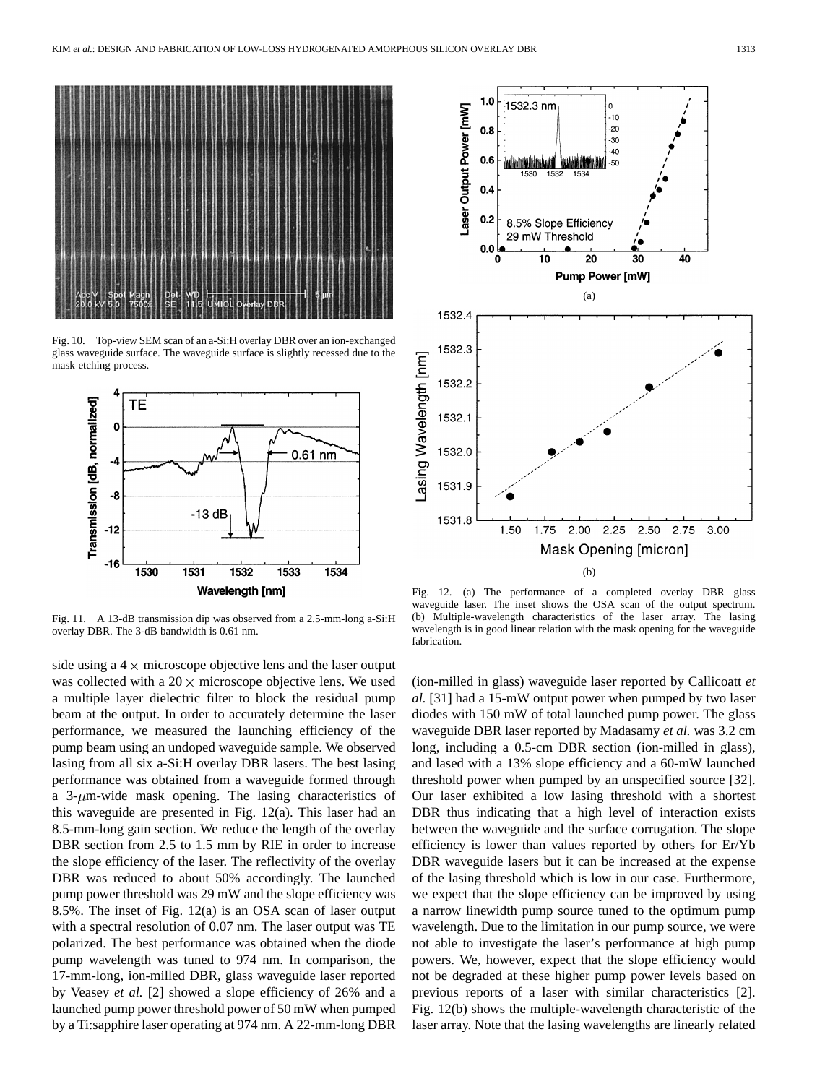

Fig. 10. Top-view SEM scan of an a-Si:H overlay DBR over an ion-exchanged glass waveguide surface. The waveguide surface is slightly recessed due to the mask etching process.



Fig. 11. A 13-dB transmission dip was observed from a 2.5-mm-long a-Si:H overlay DBR. The 3-dB bandwidth is 0.61 nm.

side using a  $4 \times$  microscope objective lens and the laser output was collected with a  $20 \times$  microscope objective lens. We used a multiple layer dielectric filter to block the residual pump beam at the output. In order to accurately determine the laser performance, we measured the launching efficiency of the pump beam using an undoped waveguide sample. We observed lasing from all six a-Si:H overlay DBR lasers. The best lasing performance was obtained from a waveguide formed through a 3- $\mu$ m-wide mask opening. The lasing characteristics of this waveguide are presented in Fig. 12(a). This laser had an 8.5-mm-long gain section. We reduce the length of the overlay DBR section from 2.5 to 1.5 mm by RIE in order to increase the slope efficiency of the laser. The reflectivity of the overlay DBR was reduced to about 50% accordingly. The launched pump power threshold was 29 mW and the slope efficiency was 8.5%. The inset of Fig. 12(a) is an OSA scan of laser output with a spectral resolution of 0.07 nm. The laser output was TE polarized. The best performance was obtained when the diode pump wavelength was tuned to 974 nm. In comparison, the 17-mm-long, ion-milled DBR, glass waveguide laser reported by Veasey *et al.* [2] showed a slope efficiency of 26% and a launched pump power threshold power of 50 mW when pumped by a Ti:sapphire laser operating at 974 nm. A 22-mm-long DBR



Fig. 12. (a) The performance of a completed overlay DBR glass waveguide laser. The inset shows the OSA scan of the output spectrum. (b) Multiple-wavelength characteristics of the laser array. The lasing wavelength is in good linear relation with the mask opening for the waveguide fabrication.

(ion-milled in glass) waveguide laser reported by Callicoatt *et al.* [31] had a 15-mW output power when pumped by two laser diodes with 150 mW of total launched pump power. The glass waveguide DBR laser reported by Madasamy *et al.* was 3.2 cm long, including a 0.5-cm DBR section (ion-milled in glass), and lased with a 13% slope efficiency and a 60-mW launched threshold power when pumped by an unspecified source [32]. Our laser exhibited a low lasing threshold with a shortest DBR thus indicating that a high level of interaction exists between the waveguide and the surface corrugation. The slope efficiency is lower than values reported by others for Er/Yb DBR waveguide lasers but it can be increased at the expense of the lasing threshold which is low in our case. Furthermore, we expect that the slope efficiency can be improved by using a narrow linewidth pump source tuned to the optimum pump wavelength. Due to the limitation in our pump source, we were not able to investigate the laser's performance at high pump powers. We, however, expect that the slope efficiency would not be degraded at these higher pump power levels based on previous reports of a laser with similar characteristics [2]. Fig. 12(b) shows the multiple-wavelength characteristic of the laser array. Note that the lasing wavelengths are linearly related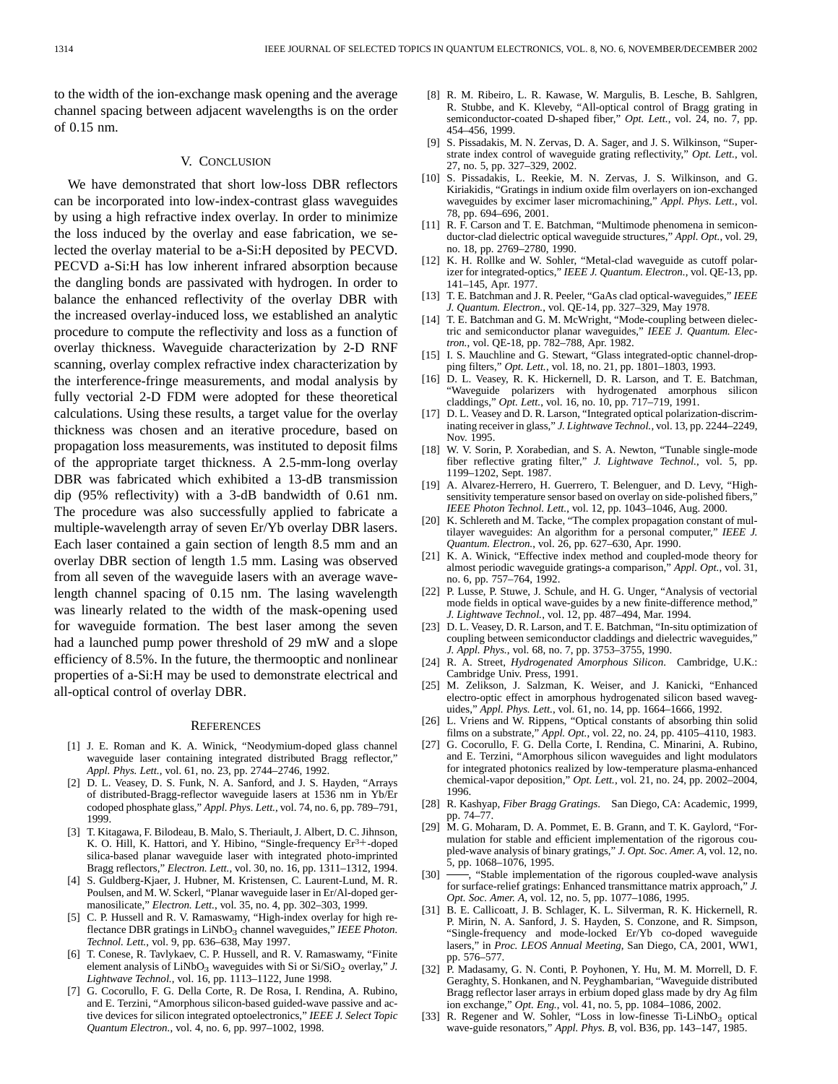to the width of the ion-exchange mask opening and the average channel spacing between adjacent wavelengths is on the order of 0.15 nm.

#### V. CONCLUSION

We have demonstrated that short low-loss DBR reflectors can be incorporated into low-index-contrast glass waveguides by using a high refractive index overlay. In order to minimize the loss induced by the overlay and ease fabrication, we selected the overlay material to be a-Si:H deposited by PECVD. PECVD a-Si:H has low inherent infrared absorption because the dangling bonds are passivated with hydrogen. In order to balance the enhanced reflectivity of the overlay DBR with the increased overlay-induced loss, we established an analytic procedure to compute the reflectivity and loss as a function of overlay thickness. Waveguide characterization by 2-D RNF scanning, overlay complex refractive index characterization by the interference-fringe measurements, and modal analysis by fully vectorial 2-D FDM were adopted for these theoretical calculations. Using these results, a target value for the overlay thickness was chosen and an iterative procedure, based on propagation loss measurements, was instituted to deposit films of the appropriate target thickness. A 2.5-mm-long overlay DBR was fabricated which exhibited a 13-dB transmission dip (95% reflectivity) with a 3-dB bandwidth of 0.61 nm. The procedure was also successfully applied to fabricate a multiple-wavelength array of seven Er/Yb overlay DBR lasers. Each laser contained a gain section of length 8.5 mm and an overlay DBR section of length 1.5 mm. Lasing was observed from all seven of the waveguide lasers with an average wavelength channel spacing of 0.15 nm. The lasing wavelength was linearly related to the width of the mask-opening used for waveguide formation. The best laser among the seven had a launched pump power threshold of 29 mW and a slope efficiency of 8.5%. In the future, the thermooptic and nonlinear properties of a-Si:H may be used to demonstrate electrical and all-optical control of overlay DBR.

#### **REFERENCES**

- [1] J. E. Roman and K. A. Winick, "Neodymium-doped glass channel waveguide laser containing integrated distributed Bragg reflector," *Appl. Phys. Lett.*, vol. 61, no. 23, pp. 2744–2746, 1992.
- [2] D. L. Veasey, D. S. Funk, N. A. Sanford, and J. S. Hayden, "Arrays of distributed-Bragg-reflector waveguide lasers at 1536 nm in Yb/Er codoped phosphate glass," *Appl. Phys. Lett.*, vol. 74, no. 6, pp. 789–791, 1999.
- [3] T. Kitagawa, F. Bilodeau, B. Malo, S. Theriault, J. Albert, D. C. Jihnson, K. O. Hill, K. Hattori, and Y. Hibino, "Single-frequency  $Er<sup>3+</sup>$ -doped silica-based planar waveguide laser with integrated photo-imprinted Bragg reflectors," *Electron. Lett.*, vol. 30, no. 16, pp. 1311–1312, 1994.
- [4] S. Guldberg-Kjaer, J. Hubner, M. Kristensen, C. Laurent-Lund, M. R. Poulsen, and M. W. Sckerl, "Planar waveguide laser in Er/Al-doped germanosilicate," *Electron. Lett.*, vol. 35, no. 4, pp. 302–303, 1999.
- C. P. Hussell and R. V. Ramaswamy, "High-index overlay for high reflectance DBR gratings in LiNbO<sub>3</sub> channel waveguides," *IEEE Photon. Technol. Lett.*, vol. 9, pp. 636–638, May 1997.
- [6] T. Conese, R. Tavlykaev, C. P. Hussell, and R. V. Ramaswamy, "Finite element analysis of  $LiNbO<sub>3</sub>$  waveguides with Si or  $Si/SiO<sub>2</sub>$  overlay," *J. Lightwave Technol.*, vol. 16, pp. 1113–1122, June 1998.
- [7] G. Cocorullo, F. G. Della Corte, R. De Rosa, I. Rendina, A. Rubino, and E. Terzini, "Amorphous silicon-based guided-wave passive and active devices for silicon integrated optoelectronics," *IEEE J. Select Topic Quantum Electron.*, vol. 4, no. 6, pp. 997–1002, 1998.
- [8] R. M. Ribeiro, L. R. Kawase, W. Margulis, B. Lesche, B. Sahlgren, R. Stubbe, and K. Kleveby, "All-optical control of Bragg grating in semiconductor-coated D-shaped fiber," *Opt. Lett.*, vol. 24, no. 7, pp. 454–456, 1999.
- [9] S. Pissadakis, M. N. Zervas, D. A. Sager, and J. S. Wilkinson, "Superstrate index control of waveguide grating reflectivity," *Opt. Lett.*, vol. 27, no. 5, pp. 327–329, 2002.
- [10] S. Pissadakis, L. Reekie, M. N. Zervas, J. S. Wilkinson, and G. Kiriakidis, "Gratings in indium oxide film overlayers on ion-exchanged waveguides by excimer laser micromachining," *Appl. Phys. Lett.*, vol. 78, pp. 694–696, 2001.
- [11] R. F. Carson and T. E. Batchman, "Multimode phenomena in semiconductor-clad dielectric optical waveguide structures," *Appl. Opt.*, vol. 29, no. 18, pp. 2769–2780, 1990.
- [12] K. H. Rollke and W. Sohler, "Metal-clad waveguide as cutoff polarizer for integrated-optics," *IEEE J. Quantum. Electron.*, vol. QE-13, pp. 141–145, Apr. 1977.
- [13] T. E. Batchman and J. R. Peeler, "GaAs clad optical-waveguides," *IEEE J. Quantum. Electron.*, vol. QE-14, pp. 327–329, May 1978.
- [14] T. E. Batchman and G. M. McWright, "Mode-coupling between dielectric and semiconductor planar waveguides," *IEEE J. Quantum. Electron.*, vol. QE-18, pp. 782–788, Apr. 1982.
- [15] I. S. Mauchline and G. Stewart, "Glass integrated-optic channel-dropping filters," *Opt. Lett.*, vol. 18, no. 21, pp. 1801–1803, 1993.
- [16] D. L. Veasey, R. K. Hickernell, D. R. Larson, and T. E. Batchman, "Waveguide polarizers with hydrogenated amorphous silicon claddings," *Opt. Lett.*, vol. 16, no. 10, pp. 717–719, 1991.
- [17] D. L. Veasey and D. R. Larson, "Integrated optical polarization-discriminating receiver in glass," *J. Lightwave Technol.*, vol. 13, pp. 2244–2249, Nov. 1995.
- [18] W. V. Sorin, P. Xorabedian, and S. A. Newton, "Tunable single-mode fiber reflective grating filter," *J. Lightwave Technol.*, vol. 5, pp. 1199–1202, Sept. 1987.
- [19] A. Alvarez-Herrero, H. Guerrero, T. Belenguer, and D. Levy, "Highsensitivity temperature sensor based on overlay on side-polished fibers, *IEEE Photon Technol. Lett.*, vol. 12, pp. 1043–1046, Aug. 2000.
- [20] K. Schlereth and M. Tacke, "The complex propagation constant of multilayer waveguides: An algorithm for a personal computer," *IEEE J. Quantum. Electron.*, vol. 26, pp. 627–630, Apr. 1990.
- [21] K. A. Winick, "Effective index method and coupled-mode theory for almost periodic waveguide gratings-a comparison," *Appl. Opt.*, vol. 31, no. 6, pp. 757–764, 1992.
- [22] P. Lusse, P. Stuwe, J. Schule, and H. G. Unger, "Analysis of vectorial mode fields in optical wave-guides by a new finite-difference method," *J. Lightwave Technol.*, vol. 12, pp. 487–494, Mar. 1994.
- [23] D. L. Veasey, D. R. Larson, and T. E. Batchman, "In-situ optimization of coupling between semiconductor claddings and dielectric waveguides," *J. Appl. Phys.*, vol. 68, no. 7, pp. 3753–3755, 1990.
- [24] R. A. Street, *Hydrogenated Amorphous Silicon*. Cambridge, U.K.: Cambridge Univ. Press, 1991.
- [25] M. Zelikson, J. Salzman, K. Weiser, and J. Kanicki, "Enhanced electro-optic effect in amorphous hydrogenated silicon based waveguides," *Appl. Phys. Lett.*, vol. 61, no. 14, pp. 1664–1666, 1992.
- [26] L. Vriens and W. Rippens, "Optical constants of absorbing thin solid films on a substrate," *Appl. Opt.*, vol. 22, no. 24, pp. 4105–4110, 1983.
- [27] G. Cocorullo, F. G. Della Corte, I. Rendina, C. Minarini, A. Rubino, and E. Terzini, "Amorphous silicon waveguides and light modulators for integrated photonics realized by low-temperature plasma-enhanced chemical-vapor deposition," *Opt. Lett.*, vol. 21, no. 24, pp. 2002–2004, 1996.
- [28] R. Kashyap, *Fiber Bragg Gratings*. San Diego, CA: Academic, 1999, pp. 74–77.
- [29] M. G. Moharam, D. A. Pommet, E. B. Grann, and T. K. Gaylord, "Formulation for stable and efficient implementation of the rigorous coupled-wave analysis of binary gratings," *J. Opt. Soc. Amer. A*, vol. 12, no. 5, pp. 1068–1076, 1995.
- [30] -, "Stable implementation of the rigorous coupled-wave analysis for surface-relief gratings: Enhanced transmittance matrix approach," *J. Opt. Soc. Amer. A*, vol. 12, no. 5, pp. 1077–1086, 1995.
- [31] B. E. Callicoatt, J. B. Schlager, K. L. Silverman, R. K. Hickernell, R. P. Mirin, N. A. Sanford, J. S. Hayden, S. Conzone, and R. Simpson, "Single-frequency and mode-locked Er/Yb co-doped waveguide lasers," in *Proc. LEOS Annual Meeting*, San Diego, CA, 2001, WW1, pp. 576–577.
- [32] P. Madasamy, G. N. Conti, P. Poyhonen, Y. Hu, M. M. Morrell, D. F. Geraghty, S. Honkanen, and N. Peyghambarian, "Waveguide distributed Bragg reflector laser arrays in erbium doped glass made by dry Ag film ion exchange," *Opt. Eng.*, vol. 41, no. 5, pp. 1084–1086, 2002.
- [33] R. Regener and W. Sohler, "Loss in low-finesse Ti-LiNbO<sub>3</sub> optical wave-guide resonators," *Appl. Phys. B*, vol. B36, pp. 143–147, 1985.